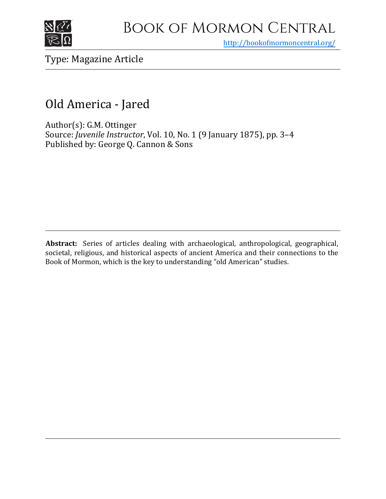

<http://bookofmormoncentral.org/>

# Type: Magazine Article

# Old America - Jared

Author(s): G.M. Ottinger Source: *Juvenile Instructor*, Vol. 10, No. 1 (9 January 1875), pp. 3–4 Published by: George Q. Cannon & Sons

**Abstract:** Series of articles dealing with archaeological, anthropological, geographical, societal, religious, and historical aspects of ancient America and their connections to the Book of Mormon, which is the key to understanding "old American" studies.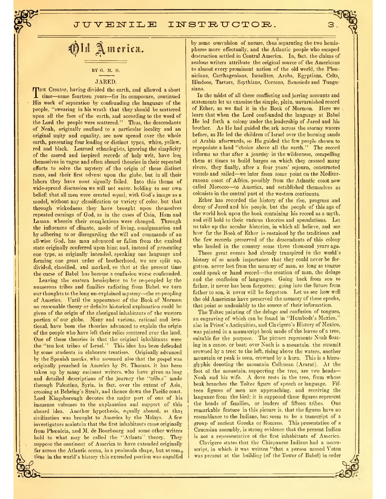## **BY G. M. 0.**

#### JARED.

1 time—some fourteen years—for its composure, continued<br>His work of separation by confounding the language of the THE Creator, having divided the earth, and allowed a short His work of separation by confounding the language of the people, "swearing in his wrath that they should be scattered upon all the face of the earth, and according to the word of the Lord the people were scattered.'' Thus, the descendants of Noah, originally confined to a particular locality and an original unity and equality, are now spread over the whole earth, presenting four leading or distinct types, white, yellow, red and black. Learned ethnologists, ignoring the simplicity of the saered and inspired records of holy writ, have lost themselves in vague and often absurd theories in their repeated efforts to solve the mystery of the origin of these distinct races, and their first advent upon the globe, but in all their labors they have most signally failed. Into this theme of wide-spread discussion wc will not enter, holding to our own belief: that all men were created equal, with God's image as a model, without any classification or variety of color, but that through wickedness they have brought upon themselves repeated cursings of God, as in the cases of Cain, Ham and Laman, wherein their complexions were changed. Through the influences of climate, mode of living, amalgamation and by adhering to or disregarding the will and commands of an all-wise God, has man advanced or fallen from the exalted state originally conferred upon him; and, instead of presenting one type, as originally intended, speaking one language and forming one great order of brotherhood, we are split up, divided, classified, and marked, so that at the present time the curse of Babel has become a confusion worse confounded.

Leaving the eastern hemisphere to be re-peopled by the numerous tribes and families radiating from Babel, we turn our thoughts to the long un-explained mystery—the re-peopling of America. Until the appearance of the Book of Mormon no reasonable theory or definite historical explanation could be given of the origin of the aborignal inhabitants of the western portion *of* our globe. Many and various, rational and irrational. have been the theories advanced to explain the origin of the people who have left their relics scattered over the land. One of these theories is that the original inhabitants were the "ten lost tribes of Israel.'' This idea has been defended by some students in elaborate treatises. Originally advanced by the Spanish monks, who assumed also that the gospel was originally preached in America by St. Thomas, it has been taken up by many eminent writers, who have given us long and detailed descriptions of the journey the "tribes" made through Palestine, Syria, in fact, over the extent of Asia, crossing at Behring's Strait, and thence down the Pacific coast. Lord Kingsborough devotes the major part of one of his immense volumes to the explanation and support of this absurd idea. Another hypothesis, equally absurd, is that civilization was brought to America by the Malays. A few investigators maintain that the first inhabitants came originally from Phoenicia, and M. de Bourbourg and some other writers hold to what may be called the "Atlanta" theory. They suppose the continent of America to have extended originally far across the Atlantic ocean, in a peninsula shape, but at  $som_{e}$ time in the world's history this extended portion was engulfed by some convulsion of nature, thus separating the two hemispheres more effectually, and the Atlantic people who escaped destruction settled in Central America. In, fact, the claims of zealous writers attribute the original source of the Americans to almost every prominent nation of the old world, the Phoenicians, Carthagenians, Israelites, Arabs, Egyptians, Celts, Hindoos, Tartars, Scythians, Coreans, Samoieds and Tungusians.

3

In the midst of all these conflicting and jarring accounts and statements let us examine the simple, plain, unvarnished record of Ether, as we find it in the Book of Mormon. Here we learn that when the Lord confounded the language at Babel He led forth a colony under the leadership of Jared and his brother. As He had guided the, ark across the stormy waters before, as He led the children of Israel over the burning sands of Arabia afterwards, so He guided the few people chosen to repopulate a land "choice above all the earth." The record informs us that after a journey in the wilderness, compelling them at times to build barges on which they crossed many rivers, they finally, after a four years' sojourn, constructed vessels and sailed—we infer from some point on the Mediterranean coast of Africa, possibly from the Atlantic coast now called Morocco—to America, and established themselves as colonists in the central part of the western continents.

Ether has recorded the history of the rise, progress and decay of Jared and his people, but the people of this age of the world look upon the book containing his record as a myth, and still bold to their various theories and speculations. Let us take up the secular histories, in which all believe, and see how far the Book of Ether is sustained by the traditions and the few records preserved of the descendants of this colony who landed in the country some three thousand years ago.

Three great events had already transpired in the world's history of so much importance that they could never be forgotten. never lost from the memory of man, as long as tongue could speak or hand record—the creation of man, the deluge and the confusion of languages. Going back from son to father, it never has been forgotten; going into the future from father to son, it never will be forgotten. Let us see how well the old Americans have preserved the memory of these epochs, that point so undeniably to the source of their information.

The Toltec painting of the deluge and confusion of tongues, an engraving of which can be found in "Humbodt's Mexico, also in Priest's Antiquities, and Clavigero's History of Mexico, was painted in a manuscript book made of the leaves of a tree, suitable for the purpose. The picture represents Noah floating in a canoe, or boat: over Noah is a mountain, the summit crowned by a tree; to the left, rising above the waters, another mountain or peak is seen, crowned by a horn. This is a hieroglyphic denoting the mountain Colhucan (Ararat). At the foot of the mountain, supporting the tree, are two heads— Noah and his wife. A dove rests in the tree, from whose beak branches the Toltec figure of speech or language. Fifteen figures of men are approaching, and receiving the language from the bird; it is supposed these figures represent the heads of families, or leaders of fifteen tribes. One remarkable feature in this picture is, that the figures have no resemblance to the Indians, but seem to be a transcript of a group of ancient Greeks or Romans. This presentation of a Caucasian assembly, is strong evidence that the present Indian is not a representative of the first inhabitants of America.

Clavigero states that the Chiapanese Indians had a manuscript, in which it was written "that a person named Votan was present at the building (of the Tower of Babel) in order